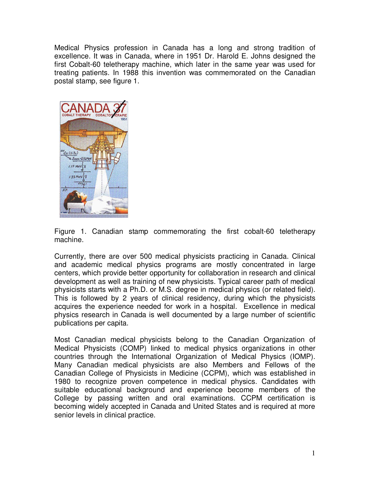Medical Physics profession in Canada has a long and strong tradition of excellence. It was in Canada, where in 1951 Dr. Harold E. Johns designed the first Cobalt-60 teletherapy machine, which later in the same year was used for treating patients. In 1988 this invention was commemorated on the Canadian postal stamp, see figure 1.



Figure 1. Canadian stamp commemorating the first cobalt-60 teletherapy machine.

Currently, there are over 500 medical physicists practicing in Canada. Clinical and academic medical physics programs are mostly concentrated in large centers, which provide better opportunity for collaboration in research and clinical development as well as training of new physicists. Typical career path of medical physicists starts with a Ph.D. or M.S. degree in medical physics (or related field). This is followed by 2 years of clinical residency, during which the physicists acquires the experience needed for work in a hospital. Excellence in medical physics research in Canada is well documented by a large number of scientific publications per capita.

Most Canadian medical physicists belong to the Canadian Organization of Medical Physicists (COMP) linked to medical physics organizations in other countries through the International Organization of Medical Physics (IOMP). Many Canadian medical physicists are also Members and Fellows of the Canadian College of Physicists in Medicine (CCPM), which was established in 1980 to recognize proven competence in medical physics. Candidates with suitable educational background and experience become members of the College by passing written and oral examinations. CCPM certification is becoming widely accepted in Canada and United States and is required at more senior levels in clinical practice.